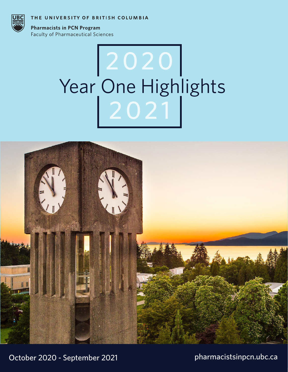THE UNIVERSITY OF BRITISH COLUMBIA



**Pharmacists in PCN Program Faculty of Pharmaceutical Sciences** 

# Year One Highlights 2020 2021



October 2020 - September 2021

pharmacistsinpcn.ubc.ca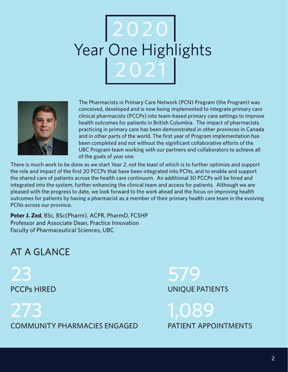## Year One Highlights 2020 2021



The Pharmacists in Primary Care Network (PCN) Program (the Program) was conceived, developed and is now being implemented to integrate primary care clinical pharmacists (PCCPs) into team-based primary care settings to improve health outcomes for patients in British Columbia. The impact of pharmacists practicing in primary care has been demonstrated in other provinces in Canada and in other parts of the world. The first year of Program implementation has been completed and not without the significant collaborative efforts of the UBC Program team working with our partners and collaborators to achieve all of the goals of year one.

There is much work to be done as we start Year 2, not the least of which is to further optimize and support the role and impact of the first 20 PCCPs that have been integrated into PCNs, and to enable and support the shared care of patients across the health care continuum. An additional 30 PCCPs will be hired and integrated into the system, further enhancing the clinical team and access for patients. Although we are pleased with the progress to date, we look forward to the work ahead and the focus on improving health outcomes for patients by having a pharmacist as a member of their primary health care team in the evolving PCNs across our province.

**Peter J. Zed**, BSc, BSc(Pharm), ACPR, PharmD, FCSHP Professor and Associate Dean, Practice Innovation Faculty of Pharmaceutical Sciences, UBC

## AT A GLANCE

23 PCCPs HIRED

273 COMMUNITY PHARMACIES ENGAGED

579 UNIQUE PATIENTS

1,089 PATIENT APPOINTMENTS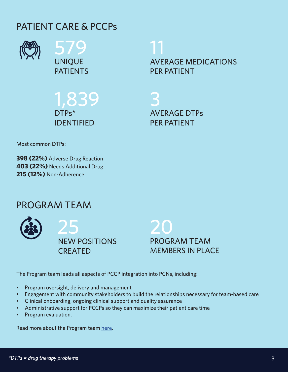## PATIENT CARE & PCCPs



579 UNIQUE PATIENTS

1,839 DTPs\* IDENTIFIED

11 AVERAGE MEDICATIONS PER PATIENT

3 AVERAGE DTPs PER PATIENT

Most common DTPs:

**398 (22%)** Adverse Drug Reaction **403 (22%)** Needs Additional Drug **215 (12%)** Non-Adherence

## PROGRAM TEAM

25 NEW POSITIONS CREATED



The Program team leads all aspects of PCCP integration into PCNs, including:

- Program oversight, delivery and management
- Engagement with community stakeholders to build the relationships necessary for team-based care
- Clinical onboarding, ongoing clinical support and quality assurance
- Administrative support for PCCPs so they can maximize their patient care time
- Program evaluation.

Read more about the Program team here.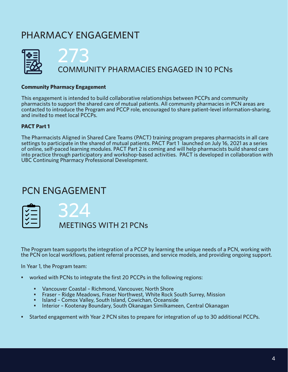## PHARMACY ENGAGEMENT



#### **Community Pharmacy Engagement**

This engagement is intended to build collaborative relationships between PCCPs and community pharmacists to support the shared care of mutual patients. All community pharmacies in PCN areas are contacted to introduce the Program and PCCP role, encouraged to share patient-level information-sharing, and invited to meet local PCCPs.

#### **PACT Part 1**

The Pharmacists Aligned in Shared Care Teams (PACT) training program prepares pharmacists in all care settings to participate in the shared of mutual patients. PACT Part 1 launched on July 16, 2021 as a series of online, self-paced learning modules. PACT Part 2 is coming and will help pharmacists build shared care into practice through participatory and workshop-based activities. PACT is developed in collaboration with UBC Continuing Pharmacy Professional Development.

## PCN ENGAGEMENT

| т. |   |  |  |
|----|---|--|--|
| ✓  | — |  |  |
| ✓  | — |  |  |
| ✓  | - |  |  |
| ✓  | - |  |  |

MEETINGS WITH 21 PCNs

The Program team supports the integration of a PCCP by learning the unique needs of a PCN, working with the PCN on local workflows, patient referral processes, and service models, and providing ongoing support.

In Year 1, the Program team:

- worked with PCNs to integrate the first 20 PCCPs in the following regions:
	- Vancouver Coastal Richmond, Vancouver, North Shore
	- Fraser Ridge Meadows, Fraser Northwest, White Rock South Surrey, Mission
	- Island Comox Valley, South Island, Cowichan, Oceanside
	- Interior Kootenay Boundary, South Okanagan Similkameen, Central Okanagan
- Started engagement with Year 2 PCN sites to prepare for integration of up to 30 additional PCCPs.